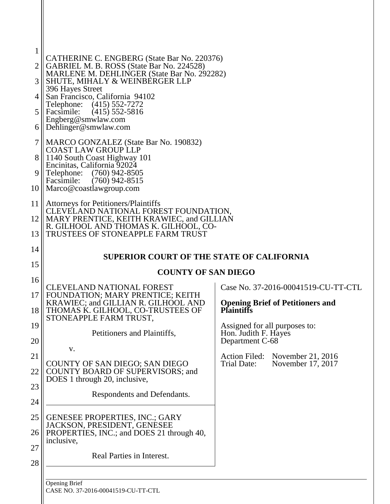| 1        |                                                                                                                   |                                                                                      |
|----------|-------------------------------------------------------------------------------------------------------------------|--------------------------------------------------------------------------------------|
| 2        | CATHERINE C. ENGBERG (State Bar No. 220376)<br>GABRIEL M. B. ROSS (State Bar No. 224528)                          |                                                                                      |
| 3        | MARLENE M. DEHLINGER (State Bar No. 292282)<br>SHUTE, MIHALY & WEINBERGER LLP                                     |                                                                                      |
|          | 396 Hayes Street<br>San Francisco, California 94102                                                               |                                                                                      |
| 5        | $(415)$ 552-7272<br>Telephone:<br>Facsimile:<br>$(415)$ 552-5816                                                  |                                                                                      |
| 6        | Engberg@smwlaw.com<br>Dehlinger@smwlaw.com                                                                        |                                                                                      |
| 7        | MARCO GONZALEZ (State Bar No. 190832)<br><b>COAST LAW GROUP LLP</b>                                               |                                                                                      |
| 8        | 1140 South Coast Highway 101<br>Encinitas, California 92024                                                       |                                                                                      |
| 9        | Telephone:<br>$(760)$ 942-8505<br>Facsimile:<br>$(760)$ 942-8515                                                  |                                                                                      |
| 10       | Marco@coastlawgroup.com                                                                                           |                                                                                      |
| 11       | <b>Attorneys for Petitioners/Plaintiffs</b><br>CLEVELAND NATIONAL FOREST FOUNDATION,                              |                                                                                      |
| 12       | MARY PRENTICE, KEITH KRAWIEC, and GILLIAN<br>R. GILHOOL AND THOMAS K. GILHOOL, CO-                                |                                                                                      |
| 13       | TRUSTEES OF STONEAPPLE FARM TRUST                                                                                 |                                                                                      |
| 14<br>15 | <b>SUPERIOR COURT OF THE STATE OF CALIFORNIA</b>                                                                  |                                                                                      |
| 16       | <b>COUNTY OF SAN DIEGO</b>                                                                                        |                                                                                      |
| 17       | <b>CLEVELAND NATIONAL FOREST</b><br>FOUNDATION; MARY PRENTICE; KEITH                                              | Case No. 37-2016-00041519-CU-TT-CTL                                                  |
| 18       | KRAWIEC; and GILLIAN R. GILHOOL AND<br>THOMAS K. GILHOOL, CO-TRUSTEES OF                                          | <b>Opening Brief of Petitioners and</b><br><b>Plaintiffs</b>                         |
| 19       | STONEAPPLE FARM TRUST,<br>Petitioners and Plaintiffs,                                                             | Assigned for all purposes to:<br>Hon. Judith F. Hayes                                |
| 20       | V.                                                                                                                | Department C-68                                                                      |
| 21       | COUNTY OF SAN DIEGO; SAN DIEGO                                                                                    | <b>Action Filed:</b><br>November 21, 2016<br><b>Trial Date:</b><br>November 17, 2017 |
| 22       | COUNTY BOARD OF SUPERVISORS; and<br>DOES 1 through 20, inclusive,                                                 |                                                                                      |
| 23       | Respondents and Defendants.                                                                                       |                                                                                      |
| 24       |                                                                                                                   |                                                                                      |
| 25<br>26 | <b>GENESEE PROPERTIES, INC.; GARY</b><br>JACKSON, PRESIDENT, GENESEE<br>PROPERTIES, INC.; and DOES 21 through 40, |                                                                                      |
| 27<br>28 | inclusive,<br>Real Parties in Interest.                                                                           |                                                                                      |
|          | <b>Opening Brief</b>                                                                                              |                                                                                      |

CASE NO. 37-2016-00041519-CU-TT-CTL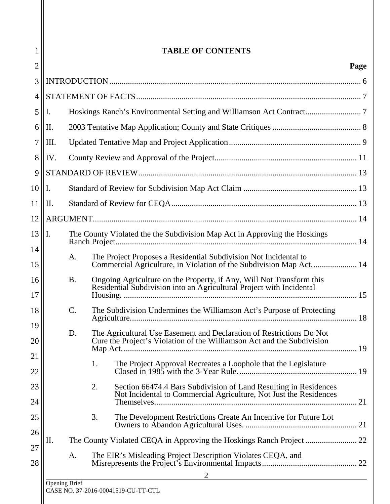|                |                                                                   |                                                                                                                                                | Page |
|----------------|-------------------------------------------------------------------|------------------------------------------------------------------------------------------------------------------------------------------------|------|
|                |                                                                   |                                                                                                                                                |      |
|                |                                                                   |                                                                                                                                                |      |
| Ι.             |                                                                   |                                                                                                                                                |      |
| Π.             |                                                                   |                                                                                                                                                |      |
| III.           |                                                                   |                                                                                                                                                |      |
| IV.            |                                                                   |                                                                                                                                                |      |
|                |                                                                   |                                                                                                                                                |      |
| $\mathbf{I}$ . |                                                                   |                                                                                                                                                |      |
| II.            |                                                                   |                                                                                                                                                |      |
|                |                                                                   |                                                                                                                                                |      |
| Ι.             |                                                                   | The County Violated the the Subdivision Map Act in Approving the Hoskings                                                                      |      |
|                | A.                                                                | The Project Proposes a Residential Subdivision Not Incidental to<br>Commercial Agriculture, in Violation of the Subdivision Map Act 14         |      |
|                | <b>B.</b>                                                         | Ongoing Agriculture on the Property, if Any, Will Not Transform this<br>Residential Subdivision into an Agricultural Project with Incidental   |      |
|                | $\mathcal{C}$ .                                                   | The Subdivision Undermines the Williamson Act's Purpose of Protecting                                                                          | .18  |
|                | D.                                                                | The Agricultural Use Easement and Declaration of Restrictions Do Not<br>Cure the Project's Violation of the Williamson Act and the Subdivision |      |
|                |                                                                   | The Project Approval Recreates a Loophole that the Legislature<br>1.                                                                           |      |
|                |                                                                   | 2.<br>Section 66474.4 Bars Subdivision of Land Resulting in Residences<br>Not Incidental to Commercial Agriculture, Not Just the Residences    |      |
|                |                                                                   | 3.<br>The Development Restrictions Create An Incentive for Future Lot                                                                          |      |
| П.             |                                                                   |                                                                                                                                                |      |
|                | The EIR's Misleading Project Description Violates CEQA, and<br>A. |                                                                                                                                                |      |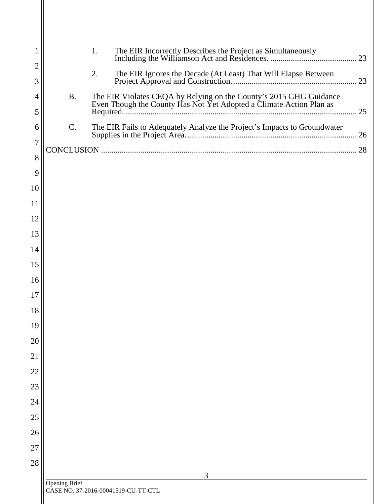| 1                   |               | 1.                                                                                                                                        |    |
|---------------------|---------------|-------------------------------------------------------------------------------------------------------------------------------------------|----|
| $\overline{2}$      |               | 2.<br>The EIR Ignores the Decade (At Least) That Will Elapse Between                                                                      | 23 |
| 3                   |               |                                                                                                                                           |    |
| $\overline{4}$<br>5 | <b>B.</b>     | The EIR Violates CEQA by Relying on the County's 2015 GHG Guidance<br>Even Though the County Has Not Yet Adopted a Climate Action Plan as | 25 |
| 6                   | C.            | The EIR Fails to Adequately Analyze the Project's Impacts to Groundwater                                                                  |    |
| $\overline{7}$      |               |                                                                                                                                           |    |
| 8                   |               |                                                                                                                                           |    |
| 9                   |               |                                                                                                                                           |    |
| 10                  |               |                                                                                                                                           |    |
| 11                  |               |                                                                                                                                           |    |
| 12                  |               |                                                                                                                                           |    |
| 13                  |               |                                                                                                                                           |    |
| 14                  |               |                                                                                                                                           |    |
| 15                  |               |                                                                                                                                           |    |
| 16                  |               |                                                                                                                                           |    |
| 17                  |               |                                                                                                                                           |    |
| 18                  |               |                                                                                                                                           |    |
| 19                  |               |                                                                                                                                           |    |
| 20                  |               |                                                                                                                                           |    |
| 21                  |               |                                                                                                                                           |    |
| 22                  |               |                                                                                                                                           |    |
| 23                  |               |                                                                                                                                           |    |
| 24                  |               |                                                                                                                                           |    |
| 25                  |               |                                                                                                                                           |    |
| 26                  |               |                                                                                                                                           |    |
| 27                  |               |                                                                                                                                           |    |
| 28                  |               | 3                                                                                                                                         |    |
|                     | Opening Brief | CASE NO. 37-2016-00041519-CU-TT-CTL                                                                                                       |    |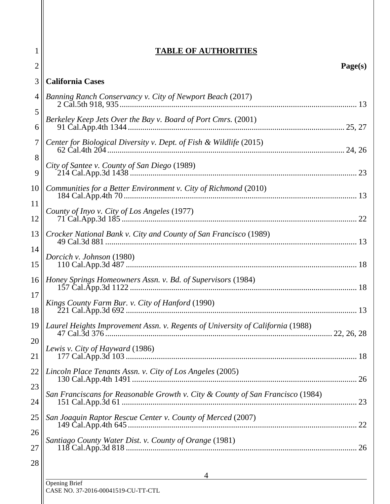| 1              | <b>TABLE OF AUTHORITIES</b>                                                    |
|----------------|--------------------------------------------------------------------------------|
| $\overline{c}$ | Page(s)                                                                        |
| 3              | <b>California Cases</b>                                                        |
| $\overline{4}$ | Banning Ranch Conservancy v. City of Newport Beach (2017)                      |
| 5              | Berkeley Keep Jets Over the Bay v. Board of Port Cmrs. (2001)                  |
| 6              |                                                                                |
| 7              | Center for Biological Diversity v. Dept. of Fish & Wildlife (2015)             |
| 8<br>9         | City of Santee v. County of San Diego (1989)                                   |
| 10             | Communities for a Better Environment v. City of Richmond (2010)                |
| 11             |                                                                                |
| 12             | County of Inyo v. City of Los Angeles (1977)                                   |
| 13             | Crocker National Bank v. City and County of San Francisco (1989)               |
| 14             | Dorcich v. Johnson (1980)                                                      |
| 15             |                                                                                |
| 16             | Honey Springs Homeowners Assn. v. Bd. of Supervisors (1984)                    |
| 17             | Kings County Farm Bur. v. City of Hanford (1990)                               |
| 18             | 13                                                                             |
| 19             | Laurel Heights Improvement Assn. v. Regents of University of California (1988) |
| 20<br>21       | Lewis v. City of Hayward (1986)                                                |
| 22             | Lincoln Place Tenants Assn. v. City of Los Angeles (2005)                      |
| 23             |                                                                                |
| 24             | San Franciscans for Reasonable Growth v. City & County of San Francisco (1984) |
| 25             | San Joaquin Raptor Rescue Center v. County of Merced (2007)                    |
| 26             |                                                                                |
| 27             | Santiago County Water Dist. v. County of Orange (1981)                         |
| 28             |                                                                                |
|                | <b>Opening Brief</b>                                                           |

CASE NO. 37-2016-00041519-CU-TT-CTL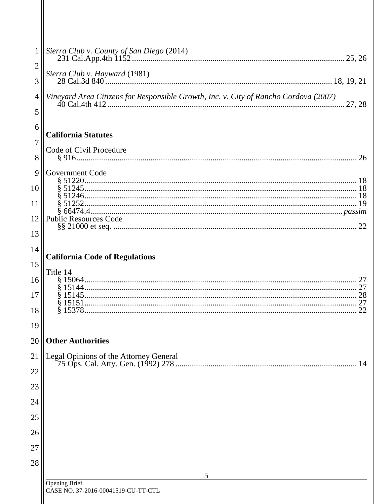| $\mathbf{1}$   | Sierra Club v. County of San Diego (2014)                                            |
|----------------|--------------------------------------------------------------------------------------|
| $\overline{2}$ | Sierra Club v. Hayward (1981)                                                        |
| 3              |                                                                                      |
| 4              | Vineyard Area Citizens for Responsible Growth, Inc. v. City of Rancho Cordova (2007) |
| 5              |                                                                                      |
| 6              | <b>California Statutes</b>                                                           |
| 7              |                                                                                      |
| 8              | Code of Civil Procedure                                                              |
| 9              | <b>Government Code</b>                                                               |
|                |                                                                                      |
| 10             |                                                                                      |
| 11             |                                                                                      |
| 12             | <b>Public Resources Code</b>                                                         |
| 13             |                                                                                      |
| 14             |                                                                                      |
|                | <b>California Code of Regulations</b>                                                |
| 15             | Title 14                                                                             |
| 16             |                                                                                      |
| 17             |                                                                                      |
| 18             |                                                                                      |
| 19             |                                                                                      |
| 20             | <b>Other Authorities</b>                                                             |
| 21             | Legal Opinions of the Attorney General                                               |
| 22             | 14                                                                                   |
| 23             |                                                                                      |
| 24             |                                                                                      |
| 25             |                                                                                      |
| 26             |                                                                                      |
|                |                                                                                      |
| 27             |                                                                                      |
| 28             | 5                                                                                    |
|                | <b>Opening Brief</b><br>CASE NO. 37-2016-00041519-CU-TT-CTL                          |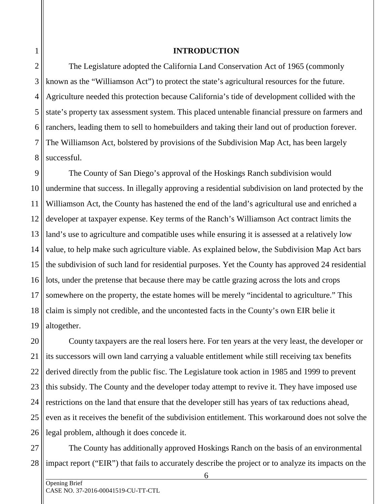#### **INTRODUCTION**

2 3 4 5 6 7 8 The Legislature adopted the California Land Conservation Act of 1965 (commonly known as the "Williamson Act") to protect the state's agricultural resources for the future. Agriculture needed this protection because California's tide of development collided with the state's property tax assessment system. This placed untenable financial pressure on farmers and ranchers, leading them to sell to homebuilders and taking their land out of production forever. The Williamson Act, bolstered by provisions of the Subdivision Map Act, has been largely successful.

 $\overline{Q}$ 10 11 12 13 14 15 16 17 18 19 The County of San Diego's approval of the Hoskings Ranch subdivision would undermine that success. In illegally approving a residential subdivision on land protected by the Williamson Act, the County has hastened the end of the land's agricultural use and enriched a developer at taxpayer expense. Key terms of the Ranch's Williamson Act contract limits the land's use to agriculture and compatible uses while ensuring it is assessed at a relatively low value, to help make such agriculture viable. As explained below, the Subdivision Map Act bars the subdivision of such land for residential purposes. Yet the County has approved 24 residential lots, under the pretense that because there may be cattle grazing across the lots and crops somewhere on the property, the estate homes will be merely "incidental to agriculture." This claim is simply not credible, and the uncontested facts in the County's own EIR belie it altogether.

20 21 22 23 24 25 26 County taxpayers are the real losers here. For ten years at the very least, the developer or its successors will own land carrying a valuable entitlement while still receiving tax benefits derived directly from the public fisc. The Legislature took action in 1985 and 1999 to prevent this subsidy. The County and the developer today attempt to revive it. They have imposed use restrictions on the land that ensure that the developer still has years of tax reductions ahead, even as it receives the benefit of the subdivision entitlement. This workaround does not solve the legal problem, although it does concede it.

27 28 The County has additionally approved Hoskings Ranch on the basis of an environmental impact report ("EIR") that fails to accurately describe the project or to analyze its impacts on the

1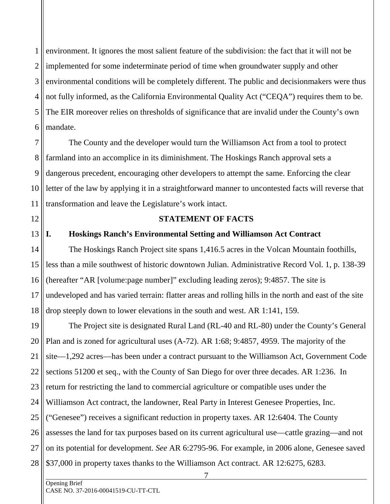1 2 3 4 5 6 environment. It ignores the most salient feature of the subdivision: the fact that it will not be implemented for some indeterminate period of time when groundwater supply and other environmental conditions will be completely different. The public and decisionmakers were thus not fully informed, as the California Environmental Quality Act ("CEQA") requires them to be. The EIR moreover relies on thresholds of significance that are invalid under the County's own mandate.

7 8 9 10 11 The County and the developer would turn the Williamson Act from a tool to protect farmland into an accomplice in its diminishment. The Hoskings Ranch approval sets a dangerous precedent, encouraging other developers to attempt the same. Enforcing the clear letter of the law by applying it in a straightforward manner to uncontested facts will reverse that transformation and leave the Legislature's work intact.

12

13

#### **STATEMENT OF FACTS**

#### **I. Hoskings Ranch's Environmental Setting and Williamson Act Contract**

14 15 16 17 18 The Hoskings Ranch Project site spans 1,416.5 acres in the Volcan Mountain foothills, less than a mile southwest of historic downtown Julian. Administrative Record Vol. 1, p. 138-39 (hereafter "AR [volume:page number]" excluding leading zeros); 9:4857. The site is undeveloped and has varied terrain: flatter areas and rolling hills in the north and east of the site drop steeply down to lower elevations in the south and west. AR 1:141, 159.

19 20 21 22 23 24 25 26 27 28 The Project site is designated Rural Land (RL-40 and RL-80) under the County's General Plan and is zoned for agricultural uses (A-72). AR 1:68; 9:4857, 4959. The majority of the site—1,292 acres—has been under a contract pursuant to the Williamson Act, Government Code sections 51200 et seq., with the County of San Diego for over three decades. AR 1:236. In return for restricting the land to commercial agriculture or compatible uses under the Williamson Act contract, the landowner, Real Party in Interest Genesee Properties, Inc. ("Genesee") receives a significant reduction in property taxes. AR 12:6404. The County assesses the land for tax purposes based on its current agricultural use—cattle grazing—and not on its potential for development. *See* AR 6:2795-96. For example, in 2006 alone, Genesee saved \$37,000 in property taxes thanks to the Williamson Act contract. AR 12:6275, 6283.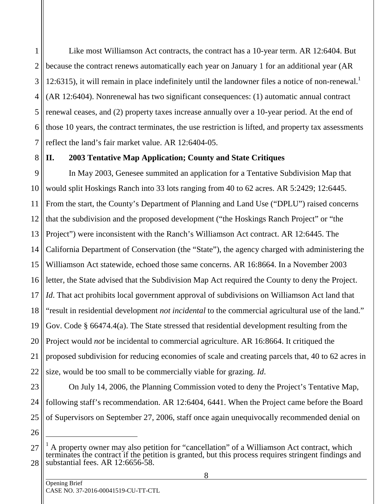1 2 3 4 5 6 7 Like most Williamson Act contracts, the contract has a 10-year term. AR 12:6404. But because the contract renews automatically each year on January 1 for an additional year (AR 12:6315), it will remain in place indefinitely until the landowner files a notice of non-renewal.<sup>1</sup> (AR 12:6404). Nonrenewal has two significant consequences: (1) automatic annual contract renewal ceases, and (2) property taxes increase annually over a 10-year period. At the end of those 10 years, the contract terminates, the use restriction is lifted, and property tax assessments reflect the land's fair market value. AR 12:6404-05.

8

## **II. 2003 Tentative Map Application; County and State Critiques**

 $\overline{Q}$ 10 11 12 13 14 15 16 17 18 19 20 21 22 In May 2003, Genesee summited an application for a Tentative Subdivision Map that would split Hoskings Ranch into 33 lots ranging from 40 to 62 acres. AR 5:2429; 12:6445. From the start, the County's Department of Planning and Land Use ("DPLU") raised concerns that the subdivision and the proposed development ("the Hoskings Ranch Project" or "the Project") were inconsistent with the Ranch's Williamson Act contract. AR 12:6445. The California Department of Conservation (the "State"), the agency charged with administering the Williamson Act statewide, echoed those same concerns. AR 16:8664. In a November 2003 letter, the State advised that the Subdivision Map Act required the County to deny the Project. *Id*. That act prohibits local government approval of subdivisions on Williamson Act land that "result in residential development *not incidental* to the commercial agricultural use of the land." Gov. Code § 66474.4(a). The State stressed that residential development resulting from the Project would *not* be incidental to commercial agriculture. AR 16:8664. It critiqued the proposed subdivision for reducing economies of scale and creating parcels that, 40 to 62 acres in size, would be too small to be commercially viable for grazing. *Id*.

23 24 25

On July 14, 2006, the Planning Commission voted to deny the Project's Tentative Map, following staff's recommendation. AR 12:6404, 6441. When the Project came before the Board of Supervisors on September 27, 2006, staff once again unequivocally recommended denial on

-

<sup>26</sup>

<sup>27</sup> 28 1 A property owner may also petition for "cancellation" of a Williamson Act contract, which terminates the contract if the petition is granted, but this process requires stringent findings and substantial fees. AR 12:6656-58.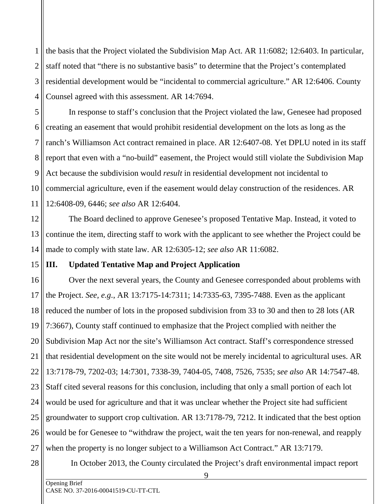1 2 3 4 the basis that the Project violated the Subdivision Map Act. AR 11:6082; 12:6403. In particular, staff noted that "there is no substantive basis" to determine that the Project's contemplated residential development would be "incidental to commercial agriculture." AR 12:6406. County Counsel agreed with this assessment. AR 14:7694.

5 6 7 8  $\mathbf Q$ 10 11 In response to staff's conclusion that the Project violated the law, Genesee had proposed creating an easement that would prohibit residential development on the lots as long as the ranch's Williamson Act contract remained in place. AR 12:6407-08. Yet DPLU noted in its staff report that even with a "no-build" easement, the Project would still violate the Subdivision Map Act because the subdivision would *result* in residential development not incidental to commercial agriculture, even if the easement would delay construction of the residences. AR 12:6408-09, 6446; *see also* AR 12:6404.

12 13 14 The Board declined to approve Genesee's proposed Tentative Map. Instead, it voted to continue the item, directing staff to work with the applicant to see whether the Project could be made to comply with state law. AR 12:6305-12; *see also* AR 11:6082.

# **III. Updated Tentative Map and Project Application**

16 17 18 19 20 21 22 23 24 25 26 27 Over the next several years, the County and Genesee corresponded about problems with the Project. *See, e.g*., AR 13:7175-14:7311; 14:7335-63, 7395-7488. Even as the applicant reduced the number of lots in the proposed subdivision from 33 to 30 and then to 28 lots (AR 7:3667), County staff continued to emphasize that the Project complied with neither the Subdivision Map Act nor the site's Williamson Act contract. Staff's correspondence stressed that residential development on the site would not be merely incidental to agricultural uses. AR 13:7178-79, 7202-03; 14:7301, 7338-39, 7404-05, 7408, 7526, 7535; *see also* AR 14:7547-48. Staff cited several reasons for this conclusion, including that only a small portion of each lot would be used for agriculture and that it was unclear whether the Project site had sufficient groundwater to support crop cultivation. AR 13:7178-79, 7212. It indicated that the best option would be for Genesee to "withdraw the project, wait the ten years for non-renewal, and reapply when the property is no longer subject to a Williamson Act Contract." AR 13:7179.

28

15

In October 2013, the County circulated the Project's draft environmental impact report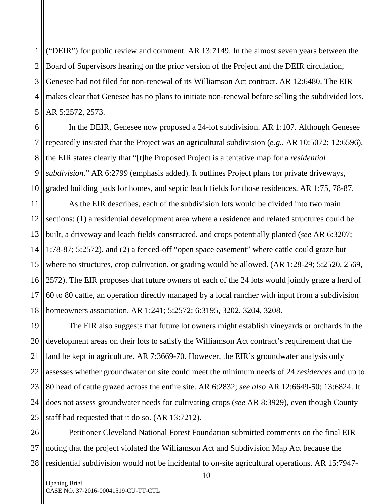1 2 3 4 5 ("DEIR") for public review and comment. AR 13:7149. In the almost seven years between the Board of Supervisors hearing on the prior version of the Project and the DEIR circulation, Genesee had not filed for non-renewal of its Williamson Act contract. AR 12:6480. The EIR makes clear that Genesee has no plans to initiate non-renewal before selling the subdivided lots. AR 5:2572, 2573.

6 7 8 9 10 In the DEIR, Genesee now proposed a 24-lot subdivision. AR 1:107. Although Genesee repeatedly insisted that the Project was an agricultural subdivision (*e.g.*, AR 10:5072; 12:6596), the EIR states clearly that "[t]he Proposed Project is a tentative map for a *residential subdivision*." AR 6:2799 (emphasis added). It outlines Project plans for private driveways, graded building pads for homes, and septic leach fields for those residences. AR 1:75, 78-87.

11 12 13 14 15 16 17 18 As the EIR describes, each of the subdivision lots would be divided into two main sections: (1) a residential development area where a residence and related structures could be built, a driveway and leach fields constructed, and crops potentially planted (*see* AR 6:3207; 1:78-87; 5:2572), and (2) a fenced-off "open space easement" where cattle could graze but where no structures, crop cultivation, or grading would be allowed. (AR 1:28-29; 5:2520, 2569, 2572). The EIR proposes that future owners of each of the 24 lots would jointly graze a herd of 60 to 80 cattle, an operation directly managed by a local rancher with input from a subdivision homeowners association. AR 1:241; 5:2572; 6:3195, 3202, 3204, 3208.

19 20 21 22 23 24 25 The EIR also suggests that future lot owners might establish vineyards or orchards in the development areas on their lots to satisfy the Williamson Act contract's requirement that the land be kept in agriculture. AR 7:3669-70. However, the EIR's groundwater analysis only assesses whether groundwater on site could meet the minimum needs of 24 *residences* and up to 80 head of cattle grazed across the entire site. AR 6:2832; *see also* AR 12:6649-50; 13:6824. It does not assess groundwater needs for cultivating crops (*see* AR 8:3929), even though County staff had requested that it do so. (AR 13:7212).

26 27 28 Petitioner Cleveland National Forest Foundation submitted comments on the final EIR noting that the project violated the Williamson Act and Subdivision Map Act because the residential subdivision would not be incidental to on-site agricultural operations. AR 15:7947-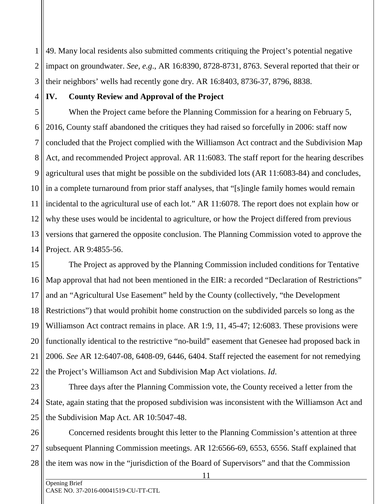1 2 3 49. Many local residents also submitted comments critiquing the Project's potential negative impact on groundwater. *See, e.g*., AR 16:8390, 8728-8731, 8763. Several reported that their or their neighbors' wells had recently gone dry. AR 16:8403, 8736-37, 8796, 8838.

4

# **IV. County Review and Approval of the Project**

5 6 7 8 9 10 11 12 13 14 When the Project came before the Planning Commission for a hearing on February 5, 2016, County staff abandoned the critiques they had raised so forcefully in 2006: staff now concluded that the Project complied with the Williamson Act contract and the Subdivision Map Act, and recommended Project approval. AR 11:6083. The staff report for the hearing describes agricultural uses that might be possible on the subdivided lots (AR 11:6083-84) and concludes, in a complete turnaround from prior staff analyses, that "[s]ingle family homes would remain incidental to the agricultural use of each lot." AR 11:6078. The report does not explain how or why these uses would be incidental to agriculture, or how the Project differed from previous versions that garnered the opposite conclusion. The Planning Commission voted to approve the Project. AR 9:4855-56.

15 16 17 18 19 20 21 22 The Project as approved by the Planning Commission included conditions for Tentative Map approval that had not been mentioned in the EIR: a recorded "Declaration of Restrictions" and an "Agricultural Use Easement" held by the County (collectively, "the Development Restrictions") that would prohibit home construction on the subdivided parcels so long as the Williamson Act contract remains in place. AR 1:9, 11, 45-47; 12:6083. These provisions were functionally identical to the restrictive "no-build" easement that Genesee had proposed back in 2006. *See* AR 12:6407-08, 6408-09, 6446, 6404. Staff rejected the easement for not remedying the Project's Williamson Act and Subdivision Map Act violations. *Id*.

23 24 25 Three days after the Planning Commission vote, the County received a letter from the State, again stating that the proposed subdivision was inconsistent with the Williamson Act and the Subdivision Map Act. AR 10:5047-48.

26 27 28 Concerned residents brought this letter to the Planning Commission's attention at three subsequent Planning Commission meetings. AR 12:6566-69, 6553, 6556. Staff explained that the item was now in the "jurisdiction of the Board of Supervisors" and that the Commission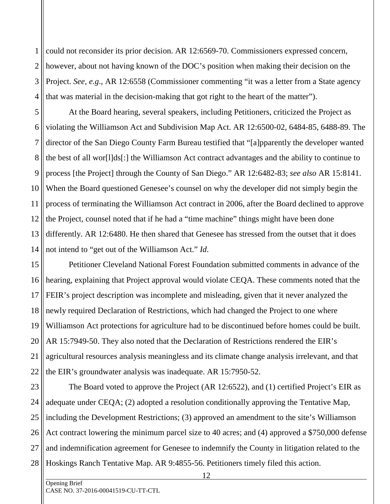1 2 3 4 could not reconsider its prior decision. AR 12:6569-70. Commissioners expressed concern, however, about not having known of the DOC's position when making their decision on the Project. *See, e.g*., AR 12:6558 (Commissioner commenting "it was a letter from a State agency that was material in the decision-making that got right to the heart of the matter").

5 6 7 8 9 10 11 12 13 14 At the Board hearing, several speakers, including Petitioners, criticized the Project as violating the Williamson Act and Subdivision Map Act. AR 12:6500-02, 6484-85, 6488-89. The director of the San Diego County Farm Bureau testified that "[a]pparently the developer wanted the best of all wor[l]ds[:] the Williamson Act contract advantages and the ability to continue to process [the Project] through the County of San Diego." AR 12:6482-83; *see also* AR 15:8141. When the Board questioned Genesee's counsel on why the developer did not simply begin the process of terminating the Williamson Act contract in 2006, after the Board declined to approve the Project, counsel noted that if he had a "time machine" things might have been done differently. AR 12:6480. He then shared that Genesee has stressed from the outset that it does not intend to "get out of the Williamson Act." *Id*.

15 16 17 18 19 20 21 22 Petitioner Cleveland National Forest Foundation submitted comments in advance of the hearing, explaining that Project approval would violate CEQA. These comments noted that the FEIR's project description was incomplete and misleading, given that it never analyzed the newly required Declaration of Restrictions, which had changed the Project to one where Williamson Act protections for agriculture had to be discontinued before homes could be built. AR 15:7949-50. They also noted that the Declaration of Restrictions rendered the EIR's agricultural resources analysis meaningless and its climate change analysis irrelevant, and that the EIR's groundwater analysis was inadequate. AR 15:7950-52.

23 24 25 26 27 28 The Board voted to approve the Project (AR 12:6522), and (1) certified Project's EIR as adequate under CEQA; (2) adopted a resolution conditionally approving the Tentative Map, including the Development Restrictions; (3) approved an amendment to the site's Williamson Act contract lowering the minimum parcel size to 40 acres; and (4) approved a \$750,000 defense and indemnification agreement for Genesee to indemnify the County in litigation related to the Hoskings Ranch Tentative Map. AR 9:4855-56. Petitioners timely filed this action.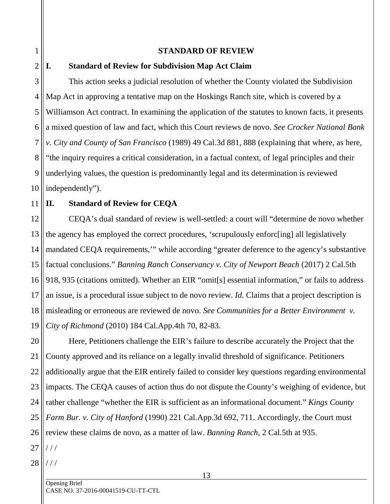#### **STANDARD OF REVIEW**

# **I. Standard of Review for Subdivision Map Act Claim**

This action seeks a judicial resolution of whether the County violated the Subdivision Map Act in approving a tentative map on the Hoskings Ranch site, which is covered by a Williamson Act contract. In examining the application of the statutes to known facts, it presents a mixed question of law and fact, which this Court reviews de novo. *See Crocker National Bank v. City and County of San Francisco* (1989) 49 Cal.3d 881, 888 (explaining that where, as here, "the inquiry requires a critical consideration, in a factual context, of legal principles and their underlying values, the question is predominantly legal and its determination is reviewed independently").

#### 11 **II. Standard of Review for CEQA**

12 13 14 15 16 17 18 19 CEQA's dual standard of review is well-settled: a court will "determine de novo whether the agency has employed the correct procedures, 'scrupulously enforc[ing] all legislatively mandated CEQA requirements,'" while according "greater deference to the agency's substantive factual conclusions." *Banning Ranch Conservancy v. City of Newport Beach* (2017) 2 Cal.5th 918, 935 (citations omitted). Whether an EIR "omit[s] essential information," or fails to address an issue, is a procedural issue subject to de novo review. *Id*. Claims that a project description is misleading or erroneous are reviewed de novo. *See Communities for a Better Environment v. City of Richmond* (2010) 184 Cal.App.4th 70, 82-83.

20 21 22 23 24 25 26 Here, Petitioners challenge the EIR's failure to describe accurately the Project that the County approved and its reliance on a legally invalid threshold of significance. Petitioners additionally argue that the EIR entirely failed to consider key questions regarding environmental impacts. The CEQA causes of action thus do not dispute the County's weighing of evidence, but rather challenge "whether the EIR is sufficient as an informational document." *Kings County Farm Bur. v. City of Hanford* (1990) 221 Cal.App.3d 692, 711. Accordingly, the Court must review these claims de novo, as a matter of law. *Banning Ranch*, 2 Cal.5th at 935.

27 / / /

1

2

3

4

5

6

7

8

9

10

28 / / /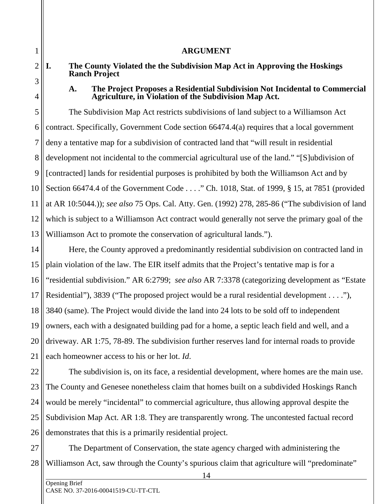#### **ARGUMENT**

# **I. The County Violated the the Subdivision Map Act in Approving the Hoskings Ranch Project**

#### **A. The Project Proposes a Residential Subdivision Not Incidental to Commercial Agriculture, in Violation of the Subdivision Map Act.**

5 6 7 8 9 10 11 12 13 The Subdivision Map Act restricts subdivisions of land subject to a Williamson Act contract. Specifically, Government Code section 66474.4(a) requires that a local government deny a tentative map for a subdivision of contracted land that "will result in residential development not incidental to the commercial agricultural use of the land." "[S]ubdivision of [contracted] lands for residential purposes is prohibited by both the Williamson Act and by Section 66474.4 of the Government Code . . . ." Ch. 1018, Stat. of 1999, § 15, at 7851 (provided at AR 10:5044.)); *see also* 75 Ops. Cal. Atty. Gen. (1992) 278, 285-86 ("The subdivision of land which is subject to a Williamson Act contract would generally not serve the primary goal of the Williamson Act to promote the conservation of agricultural lands.").

14 15 16 17 18 19 20 21 Here, the County approved a predominantly residential subdivision on contracted land in plain violation of the law. The EIR itself admits that the Project's tentative map is for a "residential subdivision." AR 6:2799; *see also* AR 7:3378 (categorizing development as "Estate Residential"), 3839 ("The proposed project would be a rural residential development . . . ."), 3840 (same). The Project would divide the land into 24 lots to be sold off to independent owners, each with a designated building pad for a home, a septic leach field and well, and a driveway. AR 1:75, 78-89. The subdivision further reserves land for internal roads to provide each homeowner access to his or her lot. *Id*.

22 23 24 25 26 The subdivision is, on its face, a residential development, where homes are the main use. The County and Genesee nonetheless claim that homes built on a subdivided Hoskings Ranch would be merely "incidental" to commercial agriculture, thus allowing approval despite the Subdivision Map Act. AR 1:8. They are transparently wrong. The uncontested factual record demonstrates that this is a primarily residential project.

27 28 The Department of Conservation, the state agency charged with administering the Williamson Act, saw through the County's spurious claim that agriculture will "predominate"

1

2

3

4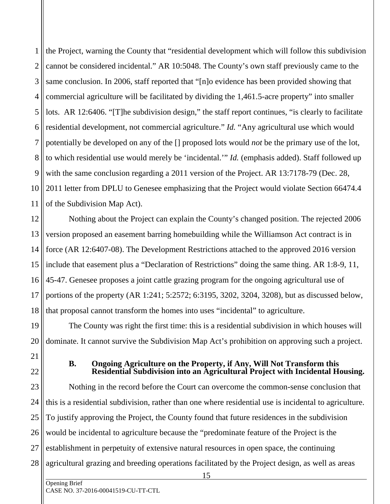1 2 3 4 5 6 7 8 9 10 11 the Project, warning the County that "residential development which will follow this subdivision cannot be considered incidental." AR 10:5048. The County's own staff previously came to the same conclusion. In 2006, staff reported that "[n]o evidence has been provided showing that commercial agriculture will be facilitated by dividing the 1,461.5-acre property" into smaller lots. AR 12:6406. "[T]he subdivision design," the staff report continues, "is clearly to facilitate residential development, not commercial agriculture." *Id.* "Any agricultural use which would potentially be developed on any of the [] proposed lots would *not* be the primary use of the lot, to which residential use would merely be 'incidental.'" *Id.* (emphasis added). Staff followed up with the same conclusion regarding a 2011 version of the Project. AR 13:7178-79 (Dec. 28, 2011 letter from DPLU to Genesee emphasizing that the Project would violate Section 66474.4 of the Subdivision Map Act).

12 13 14 15 16 17 18 Nothing about the Project can explain the County's changed position. The rejected 2006 version proposed an easement barring homebuilding while the Williamson Act contract is in force (AR 12:6407-08). The Development Restrictions attached to the approved 2016 version include that easement plus a "Declaration of Restrictions" doing the same thing. AR 1:8-9, 11, 45-47. Genesee proposes a joint cattle grazing program for the ongoing agricultural use of portions of the property (AR 1:241; 5:2572; 6:3195, 3202, 3204, 3208), but as discussed below, that proposal cannot transform the homes into uses "incidental" to agriculture.

19 20 The County was right the first time: this is a residential subdivision in which houses will dominate. It cannot survive the Subdivision Map Act's prohibition on approving such a project.

21 22

**B. Ongoing Agriculture on the Property, if Any, Will Not Transform this Residential Subdivision into an Agricultural Project with Incidental Housing.** 

23 24 25 26 27 28 Nothing in the record before the Court can overcome the common-sense conclusion that this is a residential subdivision, rather than one where residential use is incidental to agriculture. To justify approving the Project, the County found that future residences in the subdivision would be incidental to agriculture because the "predominate feature of the Project is the establishment in perpetuity of extensive natural resources in open space, the continuing agricultural grazing and breeding operations facilitated by the Project design, as well as areas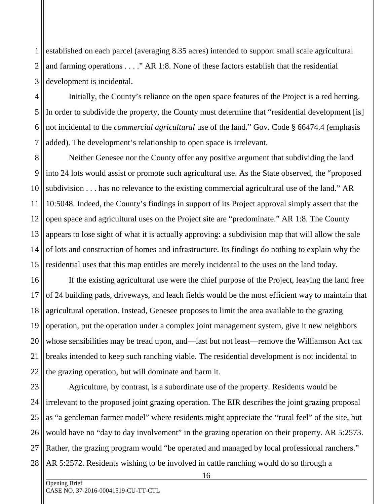1 2 3 established on each parcel (averaging 8.35 acres) intended to support small scale agricultural and farming operations . . . ." AR 1:8. None of these factors establish that the residential development is incidental.

4 5 6 7 Initially, the County's reliance on the open space features of the Project is a red herring. In order to subdivide the property, the County must determine that "residential development [is] not incidental to the *commercial agricultural* use of the land." Gov. Code § 66474.4 (emphasis added). The development's relationship to open space is irrelevant.

8 9 10 11 12 13 14 15 Neither Genesee nor the County offer any positive argument that subdividing the land into 24 lots would assist or promote such agricultural use. As the State observed, the "proposed subdivision . . . has no relevance to the existing commercial agricultural use of the land." AR 10:5048. Indeed, the County's findings in support of its Project approval simply assert that the open space and agricultural uses on the Project site are "predominate." AR 1:8. The County appears to lose sight of what it is actually approving: a subdivision map that will allow the sale of lots and construction of homes and infrastructure. Its findings do nothing to explain why the residential uses that this map entitles are merely incidental to the uses on the land today.

16 17 18 19 20 21 22 If the existing agricultural use were the chief purpose of the Project, leaving the land free of 24 building pads, driveways, and leach fields would be the most efficient way to maintain that agricultural operation. Instead, Genesee proposes to limit the area available to the grazing operation, put the operation under a complex joint management system, give it new neighbors whose sensibilities may be tread upon, and—last but not least—remove the Williamson Act tax breaks intended to keep such ranching viable. The residential development is not incidental to the grazing operation, but will dominate and harm it.

23 24 25 26 27 28 Agriculture, by contrast, is a subordinate use of the property. Residents would be irrelevant to the proposed joint grazing operation. The EIR describes the joint grazing proposal as "a gentleman farmer model" where residents might appreciate the "rural feel" of the site, but would have no "day to day involvement" in the grazing operation on their property. AR 5:2573. Rather, the grazing program would "be operated and managed by local professional ranchers." AR 5:2572. Residents wishing to be involved in cattle ranching would do so through a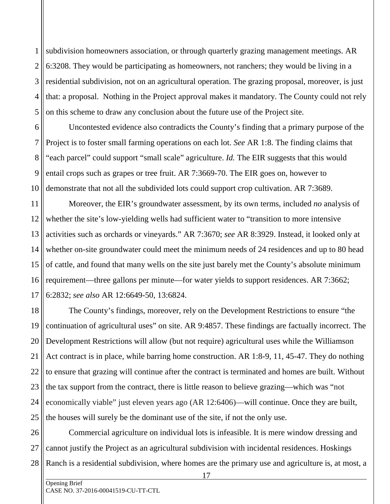1 2 3 4 5 subdivision homeowners association, or through quarterly grazing management meetings. AR 6:3208. They would be participating as homeowners, not ranchers; they would be living in a residential subdivision, not on an agricultural operation. The grazing proposal, moreover, is just that: a proposal. Nothing in the Project approval makes it mandatory. The County could not rely on this scheme to draw any conclusion about the future use of the Project site.

6 7 8 9 10 Uncontested evidence also contradicts the County's finding that a primary purpose of the Project is to foster small farming operations on each lot. *See* AR 1:8. The finding claims that "each parcel" could support "small scale" agriculture. *Id.* The EIR suggests that this would entail crops such as grapes or tree fruit. AR 7:3669-70. The EIR goes on, however to demonstrate that not all the subdivided lots could support crop cultivation. AR 7:3689.

11 12 13 14 15 16 17 Moreover, the EIR's groundwater assessment, by its own terms, included *no* analysis of whether the site's low-yielding wells had sufficient water to "transition to more intensive activities such as orchards or vineyards." AR 7:3670; *see* AR 8:3929. Instead, it looked only at whether on-site groundwater could meet the minimum needs of 24 residences and up to 80 head of cattle, and found that many wells on the site just barely met the County's absolute minimum requirement—three gallons per minute—for water yields to support residences. AR 7:3662; 6:2832; *see also* AR 12:6649-50, 13:6824.

18 19 20 21 22 23 24 25 The County's findings, moreover, rely on the Development Restrictions to ensure "the continuation of agricultural uses" on site. AR 9:4857. These findings are factually incorrect. The Development Restrictions will allow (but not require) agricultural uses while the Williamson Act contract is in place, while barring home construction. AR 1:8-9, 11, 45-47. They do nothing to ensure that grazing will continue after the contract is terminated and homes are built. Without the tax support from the contract, there is little reason to believe grazing—which was "not economically viable" just eleven years ago (AR 12:6406)—will continue. Once they are built, the houses will surely be the dominant use of the site, if not the only use.

26 27 28 Commercial agriculture on individual lots is infeasible. It is mere window dressing and cannot justify the Project as an agricultural subdivision with incidental residences. Hoskings Ranch is a residential subdivision, where homes are the primary use and agriculture is, at most, a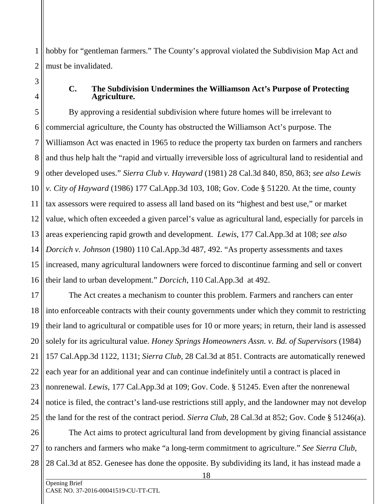1 2 hobby for "gentleman farmers." The County's approval violated the Subdivision Map Act and must be invalidated.

3

4

#### **C. The Subdivision Undermines the Williamson Act's Purpose of Protecting Agriculture.**

5 6 7 8 9 10 11 12 13 14 15 16 By approving a residential subdivision where future homes will be irrelevant to commercial agriculture, the County has obstructed the Williamson Act's purpose. The Williamson Act was enacted in 1965 to reduce the property tax burden on farmers and ranchers and thus help halt the "rapid and virtually irreversible loss of agricultural land to residential and other developed uses." *Sierra Club v. Hayward* (1981) 28 Cal.3d 840, 850, 863; *see also Lewis v. City of Hayward* (1986) 177 Cal.App.3d 103, 108; Gov. Code § 51220. At the time, county tax assessors were required to assess all land based on its "highest and best use," or market value, which often exceeded a given parcel's value as agricultural land, especially for parcels in areas experiencing rapid growth and development. *Lewis*, 177 Cal.App.3d at 108; *see also Dorcich v. Johnson* (1980) 110 Cal.App.3d 487, 492. "As property assessments and taxes increased, many agricultural landowners were forced to discontinue farming and sell or convert their land to urban development." *Dorcich*, 110 Cal.App.3d at 492.

17 18 19 20 21 22 23 24 25 The Act creates a mechanism to counter this problem. Farmers and ranchers can enter into enforceable contracts with their county governments under which they commit to restricting their land to agricultural or compatible uses for 10 or more years; in return, their land is assessed solely for its agricultural value. *Honey Springs Homeowners Assn. v. Bd. of Supervisors* (1984) 157 Cal.App.3d 1122, 1131; *Sierra Club*, 28 Cal.3d at 851. Contracts are automatically renewed each year for an additional year and can continue indefinitely until a contract is placed in nonrenewal. *Lewis*, 177 Cal.App.3d at 109; Gov. Code. § 51245. Even after the nonrenewal notice is filed, the contract's land-use restrictions still apply, and the landowner may not develop the land for the rest of the contract period. *Sierra Club*, 28 Cal.3d at 852; Gov. Code § 51246(a).

26 27 28 The Act aims to protect agricultural land from development by giving financial assistance to ranchers and farmers who make "a long-term commitment to agriculture." *See Sierra Club*, 28 Cal.3d at 852. Genesee has done the opposite. By subdividing its land, it has instead made a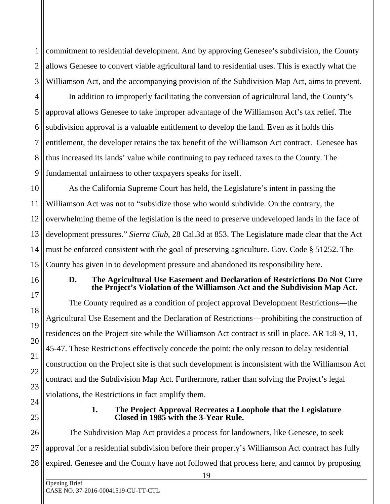1 2 3 commitment to residential development. And by approving Genesee's subdivision, the County allows Genesee to convert viable agricultural land to residential uses. This is exactly what the Williamson Act, and the accompanying provision of the Subdivision Map Act, aims to prevent.

4 5 6 7 8 9 In addition to improperly facilitating the conversion of agricultural land, the County's approval allows Genesee to take improper advantage of the Williamson Act's tax relief. The subdivision approval is a valuable entitlement to develop the land. Even as it holds this entitlement, the developer retains the tax benefit of the Williamson Act contract. Genesee has thus increased its lands' value while continuing to pay reduced taxes to the County. The fundamental unfairness to other taxpayers speaks for itself.

10 11 12 13 14 15 As the California Supreme Court has held, the Legislature's intent in passing the Williamson Act was not to "subsidize those who would subdivide. On the contrary, the overwhelming theme of the legislation is the need to preserve undeveloped lands in the face of development pressures." *Sierra Club*, 28 Cal.3d at 853. The Legislature made clear that the Act must be enforced consistent with the goal of preserving agriculture. Gov. Code § 51252. The County has given in to development pressure and abandoned its responsibility here.

#### **D. The Agricultural Use Easement and Declaration of Restrictions Do Not Cure the Project's Violation of the Williamson Act and the Subdivision Map Act.**

The County required as a condition of project approval Development Restrictions—the Agricultural Use Easement and the Declaration of Restrictions—prohibiting the construction of residences on the Project site while the Williamson Act contract is still in place. AR 1:8-9, 11, 45-47. These Restrictions effectively concede the point: the only reason to delay residential construction on the Project site is that such development is inconsistent with the Williamson Act contract and the Subdivision Map Act. Furthermore, rather than solving the Project's legal violations, the Restrictions in fact amplify them.

16

17

18

19

20

21

22

23

24

25

#### **1. The Project Approval Recreates a Loophole that the Legislature Closed in 1985 with the 3-Year Rule.**

26 27 28 The Subdivision Map Act provides a process for landowners, like Genesee, to seek approval for a residential subdivision before their property's Williamson Act contract has fully expired. Genesee and the County have not followed that process here, and cannot by proposing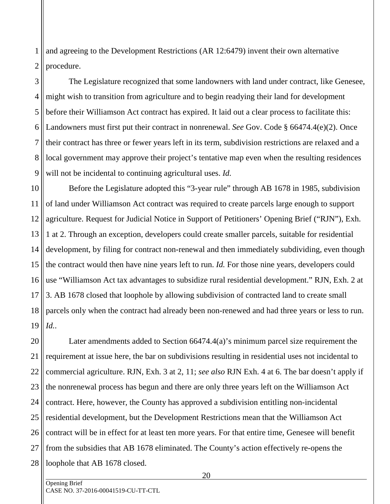1 2 and agreeing to the Development Restrictions (AR 12:6479) invent their own alternative procedure.

3 4 5 6 7 8 9 The Legislature recognized that some landowners with land under contract, like Genesee, might wish to transition from agriculture and to begin readying their land for development before their Williamson Act contract has expired. It laid out a clear process to facilitate this: Landowners must first put their contract in nonrenewal. *See* Gov. Code § 66474.4(e)(2). Once their contract has three or fewer years left in its term, subdivision restrictions are relaxed and a local government may approve their project's tentative map even when the resulting residences will not be incidental to continuing agricultural uses. *Id.*

10 11 12 13 14 15 16 17 18 19 Before the Legislature adopted this "3-year rule" through AB 1678 in 1985, subdivision of land under Williamson Act contract was required to create parcels large enough to support agriculture. Request for Judicial Notice in Support of Petitioners' Opening Brief ("RJN"), Exh. 1 at 2. Through an exception, developers could create smaller parcels, suitable for residential development, by filing for contract non-renewal and then immediately subdividing, even though the contract would then have nine years left to run. *Id.* For those nine years, developers could use "Williamson Act tax advantages to subsidize rural residential development." RJN, Exh. 2 at 3. AB 1678 closed that loophole by allowing subdivision of contracted land to create small parcels only when the contract had already been non-renewed and had three years or less to run. *Id.*.

20 21 22 23 24 25 26 27 28 Later amendments added to Section 66474.4(a)'s minimum parcel size requirement the requirement at issue here, the bar on subdivisions resulting in residential uses not incidental to commercial agriculture. RJN, Exh. 3 at 2, 11; *see also* RJN Exh. 4 at 6. The bar doesn't apply if the nonrenewal process has begun and there are only three years left on the Williamson Act contract. Here, however, the County has approved a subdivision entitling non-incidental residential development, but the Development Restrictions mean that the Williamson Act contract will be in effect for at least ten more years. For that entire time, Genesee will benefit from the subsidies that AB 1678 eliminated. The County's action effectively re-opens the loophole that AB 1678 closed.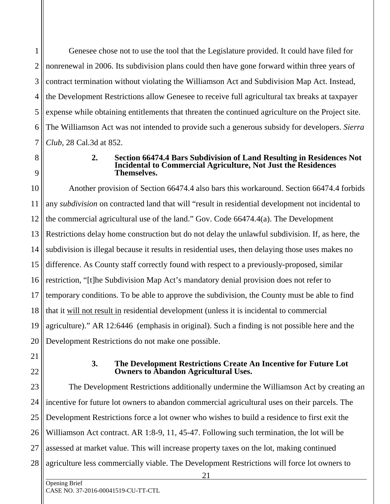1 2 3 4 5 6 7 Genesee chose not to use the tool that the Legislature provided. It could have filed for nonrenewal in 2006. Its subdivision plans could then have gone forward within three years of contract termination without violating the Williamson Act and Subdivision Map Act. Instead, the Development Restrictions allow Genesee to receive full agricultural tax breaks at taxpayer expense while obtaining entitlements that threaten the continued agriculture on the Project site. The Williamson Act was not intended to provide such a generous subsidy for developers. *Sierra Club*, 28 Cal.3d at 852.

8

9

#### **2. Section 66474.4 Bars Subdivision of Land Resulting in Residences Not Incidental to Commercial Agriculture, Not Just the Residences Themselves.**

10 11 12 13 14 15 16 17 18 19 20 Another provision of Section 66474.4 also bars this workaround. Section 66474.4 forbids any *subdivision* on contracted land that will "result in residential development not incidental to the commercial agricultural use of the land." Gov. Code 66474.4(a). The Development Restrictions delay home construction but do not delay the unlawful subdivision. If, as here, the subdivision is illegal because it results in residential uses, then delaying those uses makes no difference. As County staff correctly found with respect to a previously-proposed, similar restriction, "[t]he Subdivision Map Act's mandatory denial provision does not refer to temporary conditions. To be able to approve the subdivision, the County must be able to find that it will not result in residential development (unless it is incidental to commercial agriculture)." AR 12:6446 (emphasis in original). Such a finding is not possible here and the Development Restrictions do not make one possible.

- 21
- 22

#### **3. The Development Restrictions Create An Incentive for Future Lot Owners to Abandon Agricultural Uses.**

23 24 25 26 27 28 The Development Restrictions additionally undermine the Williamson Act by creating an incentive for future lot owners to abandon commercial agricultural uses on their parcels. The Development Restrictions force a lot owner who wishes to build a residence to first exit the Williamson Act contract. AR 1:8-9, 11, 45-47. Following such termination, the lot will be assessed at market value. This will increase property taxes on the lot, making continued agriculture less commercially viable. The Development Restrictions will force lot owners to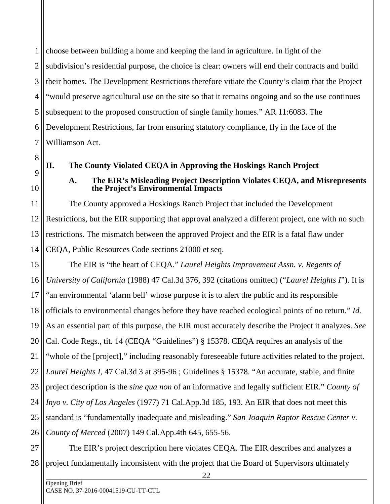1 2 3 4 5 6 7 choose between building a home and keeping the land in agriculture. In light of the subdivision's residential purpose, the choice is clear: owners will end their contracts and build their homes. The Development Restrictions therefore vitiate the County's claim that the Project "would preserve agricultural use on the site so that it remains ongoing and so the use continues subsequent to the proposed construction of single family homes." AR 11:6083. The Development Restrictions, far from ensuring statutory compliance, fly in the face of the Williamson Act.

8

#### **II. The County Violated CEQA in Approving the Hoskings Ranch Project**

## **A. The EIR's Misleading Project Description Violates CEQA, and Misrepresents the Project's Environmental Impacts**

The County approved a Hoskings Ranch Project that included the Development Restrictions, but the EIR supporting that approval analyzed a different project, one with no such restrictions. The mismatch between the approved Project and the EIR is a fatal flaw under CEQA, Public Resources Code sections 21000 et seq.

15 16 17 18 19 20 21 22 23 24 25 26 The EIR is "the heart of CEQA." *Laurel Heights Improvement Assn. v. Regents of University of California* (1988) 47 Cal.3d 376, 392 (citations omitted) ("*Laurel Heights I*"). It is "an environmental 'alarm bell' whose purpose it is to alert the public and its responsible officials to environmental changes before they have reached ecological points of no return." *Id.* As an essential part of this purpose, the EIR must accurately describe the Project it analyzes. *See* Cal. Code Regs., tit. 14 (CEQA "Guidelines") § 15378. CEQA requires an analysis of the "whole of the [project]," including reasonably foreseeable future activities related to the project. *Laurel Heights I*, 47 Cal.3d 3 at 395-96 ; Guidelines § 15378. "An accurate, stable, and finite project description is the *sine qua non* of an informative and legally sufficient EIR." *County of Inyo v. City of Los Angeles* (1977) 71 Cal.App.3d 185, 193. An EIR that does not meet this standard is "fundamentally inadequate and misleading." *San Joaquin Raptor Rescue Center v. County of Merced* (2007) 149 Cal.App.4th 645, 655-56.

27 28 The EIR's project description here violates CEQA. The EIR describes and analyzes a project fundamentally inconsistent with the project that the Board of Supervisors ultimately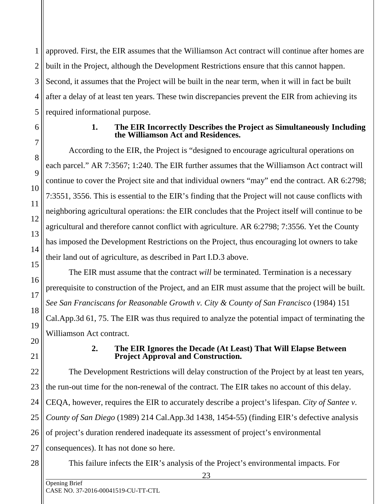1 2 3 4 5 approved. First, the EIR assumes that the Williamson Act contract will continue after homes are built in the Project, although the Development Restrictions ensure that this cannot happen. Second, it assumes that the Project will be built in the near term, when it will in fact be built after a delay of at least ten years. These twin discrepancies prevent the EIR from achieving its required informational purpose.

6

7

8

 $\overline{Q}$ 

10

11

12

13

14

15

16

17

18

19

20

28

## **1. The EIR Incorrectly Describes the Project as Simultaneously Including the Williamson Act and Residences.**

According to the EIR, the Project is "designed to encourage agricultural operations on each parcel." AR 7:3567; 1:240. The EIR further assumes that the Williamson Act contract will continue to cover the Project site and that individual owners "may" end the contract. AR 6:2798; 7:3551, 3556. This is essential to the EIR's finding that the Project will not cause conflicts with neighboring agricultural operations: the EIR concludes that the Project itself will continue to be agricultural and therefore cannot conflict with agriculture. AR 6:2798; 7:3556. Yet the County has imposed the Development Restrictions on the Project, thus encouraging lot owners to take their land out of agriculture, as described in Part I.D.3 above.

The EIR must assume that the contract *will* be terminated. Termination is a necessary prerequisite to construction of the Project, and an EIR must assume that the project will be built. *See San Franciscans for Reasonable Growth v. City & County of San Francisco* (1984) 151 Cal.App.3d 61, 75. The EIR was thus required to analyze the potential impact of terminating the Williamson Act contract.

21

# **2. The EIR Ignores the Decade (At Least) That Will Elapse Between Project Approval and Construction.**

22 23 24 25 26 27 The Development Restrictions will delay construction of the Project by at least ten years, the run-out time for the non-renewal of the contract. The EIR takes no account of this delay. CEQA, however, requires the EIR to accurately describe a project's lifespan. *City of Santee v. County of San Diego* (1989) 214 Cal.App.3d 1438, 1454-55) (finding EIR's defective analysis of project's duration rendered inadequate its assessment of project's environmental consequences). It has not done so here.

This failure infects the EIR's analysis of the Project's environmental impacts. For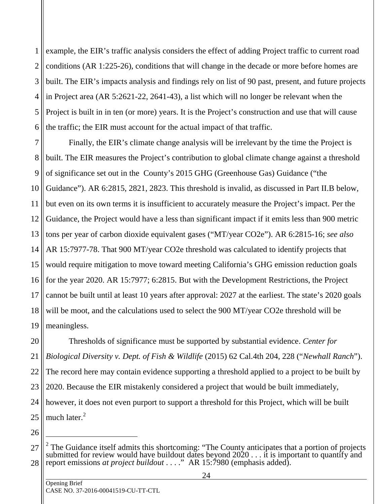1 2 3 4 5 6 example, the EIR's traffic analysis considers the effect of adding Project traffic to current road conditions (AR 1:225-26), conditions that will change in the decade or more before homes are built. The EIR's impacts analysis and findings rely on list of 90 past, present, and future projects in Project area (AR 5:2621-22, 2641-43), a list which will no longer be relevant when the Project is built in in ten (or more) years. It is the Project's construction and use that will cause the traffic; the EIR must account for the actual impact of that traffic.

7 8 9 10 11 12 13 14 15 16 17 18 19 Finally, the EIR's climate change analysis will be irrelevant by the time the Project is built. The EIR measures the Project's contribution to global climate change against a threshold of significance set out in the County's 2015 GHG (Greenhouse Gas) Guidance ("the Guidance"). AR 6:2815, 2821, 2823. This threshold is invalid, as discussed in Part II.B below, but even on its own terms it is insufficient to accurately measure the Project's impact. Per the Guidance, the Project would have a less than significant impact if it emits less than 900 metric tons per year of carbon dioxide equivalent gases ("MT/year CO2e"). AR 6:2815-16; *see also* AR 15:7977-78. That 900 MT/year CO2e threshold was calculated to identify projects that would require mitigation to move toward meeting California's GHG emission reduction goals for the year 2020. AR 15:7977; 6:2815. But with the Development Restrictions, the Project cannot be built until at least 10 years after approval: 2027 at the earliest. The state's 2020 goals will be moot, and the calculations used to select the 900 MT/year CO2e threshold will be meaningless.

20 21 22 23 24 25 Thresholds of significance must be supported by substantial evidence. *Center for Biological Diversity v. Dept. of Fish & Wildlife* (2015) 62 Cal.4th 204, 228 ("*Newhall Ranch*"). The record here may contain evidence supporting a threshold applied to a project to be built by 2020. Because the EIR mistakenly considered a project that would be built immediately, however, it does not even purport to support a threshold for this Project, which will be built much later. $2$ 

26

-

<sup>27</sup> 28  $2$  The Guidance itself admits this shortcoming: "The County anticipates that a portion of projects submitted for review would have buildout dates beyond  $2020...$  it is important to quantify and report emissions *at project buildout* . . . ." AR 15:7980 (emphasis added).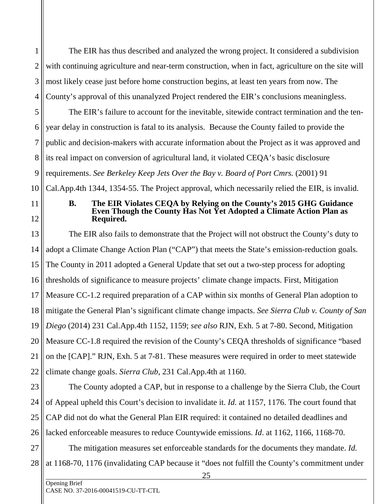1 2 3 4 The EIR has thus described and analyzed the wrong project. It considered a subdivision with continuing agriculture and near-term construction, when in fact, agriculture on the site will most likely cease just before home construction begins, at least ten years from now. The County's approval of this unanalyzed Project rendered the EIR's conclusions meaningless.

5 6 7 8 9 The EIR's failure to account for the inevitable, sitewide contract termination and the tenyear delay in construction is fatal to its analysis. Because the County failed to provide the public and decision-makers with accurate information about the Project as it was approved and its real impact on conversion of agricultural land, it violated CEQA's basic disclosure requirements. *See Berkeley Keep Jets Over the Bay v. Board of Port Cmrs.* (2001) 91

Cal.App.4th 1344, 1354-55. The Project approval, which necessarily relied the EIR, is invalid.

# 11 12

10

#### **B. The EIR Violates CEQA by Relying on the County's 2015 GHG Guidance Even Though the County Has Not Yet Adopted a Climate Action Plan as Required.**

13 14 15 16 17 18 19 20 21 22 The EIR also fails to demonstrate that the Project will not obstruct the County's duty to adopt a Climate Change Action Plan ("CAP") that meets the State's emission-reduction goals. The County in 2011 adopted a General Update that set out a two-step process for adopting thresholds of significance to measure projects' climate change impacts. First, Mitigation Measure CC-1.2 required preparation of a CAP within six months of General Plan adoption to mitigate the General Plan's significant climate change impacts. *See Sierra Club v. County of San Diego* (2014) 231 Cal.App.4th 1152, 1159; *see also* RJN, Exh. 5 at 7-80. Second, Mitigation Measure CC-1.8 required the revision of the County's CEQA thresholds of significance "based on the [CAP]." RJN, Exh. 5 at 7-81. These measures were required in order to meet statewide climate change goals. *Sierra Club*, 231 Cal.App.4th at 1160.

23 24 25 26 The County adopted a CAP, but in response to a challenge by the Sierra Club, the Court of Appeal upheld this Court's decision to invalidate it. *Id.* at 1157, 1176. The court found that CAP did not do what the General Plan EIR required: it contained no detailed deadlines and lacked enforceable measures to reduce Countywide emissions. *Id*. at 1162, 1166, 1168-70.

27 28 The mitigation measures set enforceable standards for the documents they mandate. *Id.* at 1168-70, 1176 (invalidating CAP because it "does not fulfill the County's commitment under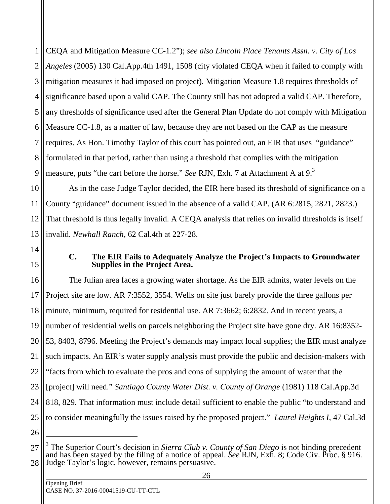1 2 3 4 5 6 7 8 9 CEQA and Mitigation Measure CC-1.2"); *see also Lincoln Place Tenants Assn. v. City of Los Angeles* (2005) 130 Cal.App.4th 1491, 1508 (city violated CEQA when it failed to comply with mitigation measures it had imposed on project)*.* Mitigation Measure 1.8 requires thresholds of significance based upon a valid CAP. The County still has not adopted a valid CAP. Therefore, any thresholds of significance used after the General Plan Update do not comply with Mitigation Measure CC-1.8, as a matter of law, because they are not based on the CAP as the measure requires. As Hon. Timothy Taylor of this court has pointed out, an EIR that uses "guidance" formulated in that period, rather than using a threshold that complies with the mitigation measure, puts "the cart before the horse." *See* RJN, Exh. 7 at Attachment A at 9.<sup>3</sup>

10 11 12 13 As in the case Judge Taylor decided, the EIR here based its threshold of significance on a County "guidance" document issued in the absence of a valid CAP. (AR 6:2815, 2821, 2823.) That threshold is thus legally invalid. A CEQA analysis that relies on invalid thresholds is itself invalid. *Newhall Ranch*, 62 Cal.4th at 227-28.

14 15

#### **C. The EIR Fails to Adequately Analyze the Project's Impacts to Groundwater Supplies in the Project Area.**

16 17 18 19 20 21 22 23 24 25 The Julian area faces a growing water shortage. As the EIR admits, water levels on the Project site are low. AR 7:3552, 3554. Wells on site just barely provide the three gallons per minute, minimum, required for residential use. AR 7:3662; 6:2832. And in recent years, a number of residential wells on parcels neighboring the Project site have gone dry. AR 16:8352- 53, 8403, 8796. Meeting the Project's demands may impact local supplies; the EIR must analyze such impacts. An EIR's water supply analysis must provide the public and decision-makers with "facts from which to evaluate the pros and cons of supplying the amount of water that the [project] will need." *Santiago County Water Dist. v. County of Orange* (1981) 118 Cal.App.3d 818, 829. That information must include detail sufficient to enable the public "to understand and to consider meaningfully the issues raised by the proposed project." *Laurel Heights I,* 47 Cal.3d

-

<sup>26</sup>

<sup>27</sup> 28 3 The Superior Court's decision in *Sierra Club v. County of San Diego* is not binding precedent and has been stayed by the filing of a notice of appeal. *See* RJN, Exh. 8; Code Civ. Proc. § 916. Judge Taylor's logic, however, remains persuasive.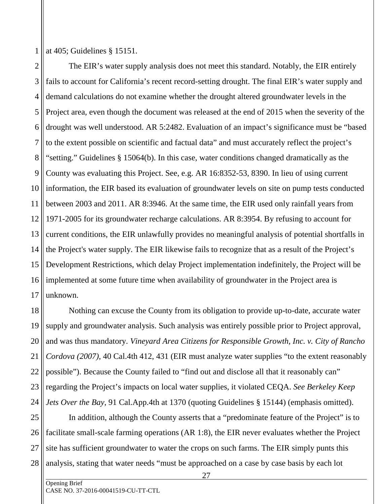1 at 405; Guidelines § 15151.

2 3 4 5 6 7 8 9 10 11 12 13 14 15 16 17 The EIR's water supply analysis does not meet this standard. Notably, the EIR entirely fails to account for California's recent record-setting drought. The final EIR's water supply and demand calculations do not examine whether the drought altered groundwater levels in the Project area, even though the document was released at the end of 2015 when the severity of the drought was well understood. AR 5:2482. Evaluation of an impact's significance must be "based to the extent possible on scientific and factual data" and must accurately reflect the project's "setting." Guidelines § 15064(b). In this case, water conditions changed dramatically as the County was evaluating this Project. See, e.g. AR 16:8352-53, 8390. In lieu of using current information, the EIR based its evaluation of groundwater levels on site on pump tests conducted between 2003 and 2011. AR 8:3946. At the same time, the EIR used only rainfall years from 1971-2005 for its groundwater recharge calculations. AR 8:3954. By refusing to account for current conditions, the EIR unlawfully provides no meaningful analysis of potential shortfalls in the Project's water supply. The EIR likewise fails to recognize that as a result of the Project's Development Restrictions, which delay Project implementation indefinitely, the Project will be implemented at some future time when availability of groundwater in the Project area is unknown.

18 19 20 21 22 23 24 Nothing can excuse the County from its obligation to provide up-to-date, accurate water supply and groundwater analysis. Such analysis was entirely possible prior to Project approval, and was thus mandatory. *Vineyard Area Citizens for Responsible Growth, Inc. v. City of Rancho Cordova (2007)*, 40 Cal.4th 412, 431 (EIR must analyze water supplies "to the extent reasonably possible"). Because the County failed to "find out and disclose all that it reasonably can" regarding the Project's impacts on local water supplies, it violated CEQA. *See Berkeley Keep Jets Over the Bay*, 91 Cal.App.4th at 1370 (quoting Guidelines § 15144) (emphasis omitted).

25 26 27 28 In addition, although the County asserts that a "predominate feature of the Project" is to facilitate small-scale farming operations (AR 1:8), the EIR never evaluates whether the Project site has sufficient groundwater to water the crops on such farms. The EIR simply punts this analysis, stating that water needs "must be approached on a case by case basis by each lot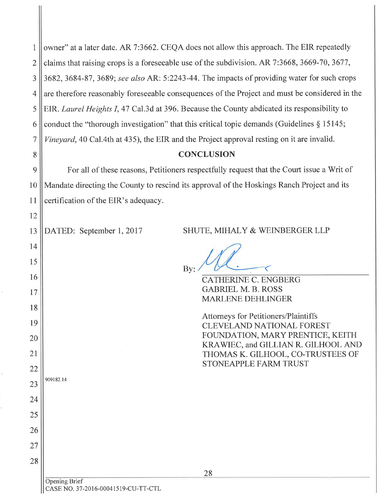| 1    owner" at a later date. AR 7:3662. CEQA does not allow this approach. The EIR repeatedly                |
|--------------------------------------------------------------------------------------------------------------|
| 2    claims that raising crops is a foreseeable use of the subdivision. AR 7:3668, 3669-70, 3677,            |
| $3 \  3682, 3684-87, 3689$ ; see also AR: 5:2243-44. The impacts of providing water for such crops           |
| $4 \parallel$ are therefore reasonably foreseeable consequences of the Project and must be considered in the |
| 5  EIR. <i>Laurel Heights I</i> , 47 Cal.3d at 396. Because the County abdicated its responsibility to       |
| 6    conduct the "thorough investigation" that this critical topic demands (Guidelines $\S 15145$ ;          |
| 7    Vineyard, 40 Cal.4th at 435), the EIR and the Project approval resting on it are invalid.               |

## CONCLUSION **CONCLUSION**

9 9 l0 10 11 11 For all of these reasons, Petitioners respectfully request that the Court issue a Writ of Mandate directing the County to rescind its approval of the Hoskings Ranch Project and its certification of the EIR's adequacy.

|  |  | 13    DATED: September 1, 2017 |  |  |
|--|--|--------------------------------|--|--|
|--|--|--------------------------------|--|--|

8 8

t2 12

t4 14

15 15

t6 16

t7 17

l8 18

r9 19

20 20

2t 21

22 22

23 23

909182.14 909182.14

24 24

25 25

26 26

27 27

28 28

DATED: September 1, 2017 SHUTE, MIHALY & WEINBERGER LLP

 $\langle$ By:  $B_{\text{By:}} / M$ 

CATHERINE C. ENGBERG CATHERINE C. ENGBERG GABRIEL M. B. ROSS GABRIEL M. B. ROSS MARLENE DEHLINGER MARLENE DEHLINGER

Attorneys for Petitioners/Plaintiffs Attorneys for Petitioners/Plaintiffs CLEVELAND NATIONAL FOREST CLEVELAND NATIONAL FOREST FOUNDATION, MARY PRENTICE, KEITH KRAWIEC, and GILLIAN R. GILHOOL AND KRAWIEC, and GILLIAN R. GILHOOL AND THOMAS K. GILHOOL, CO.TRUSTEES OF THOMAS K. GILHOOL, CO-TRUSTEES OF STONEAPPLE FARM TRUST STONEAPPLE FARM TRUST